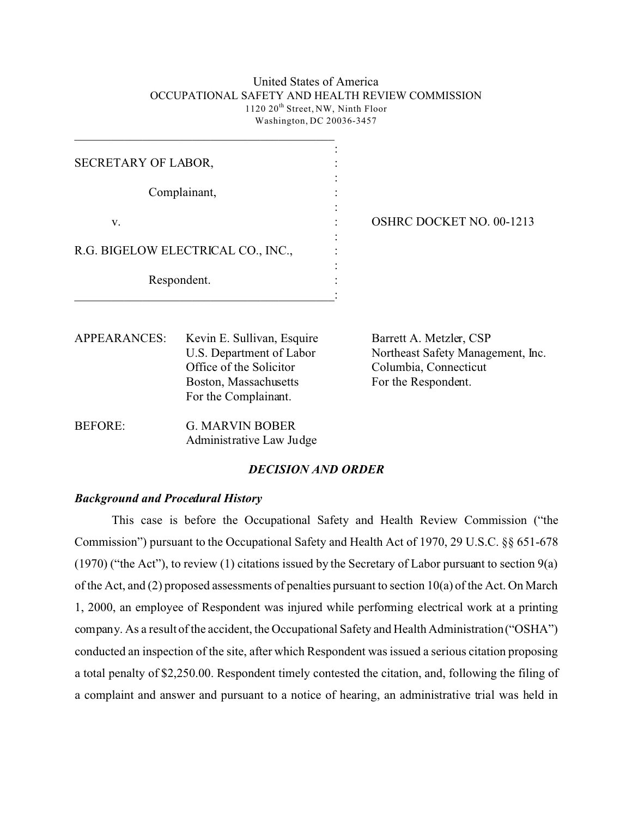#### United States of America OCCUPATIONAL SAFETY AND HEALTH REVIEW COMMISSION 1120 20<sup>th</sup> Street, NW, Ninth Floor Washington, DC 20036-3457

| <b>APPEARANCES:</b> | Kevin E. Sullivan, Esquire<br>II S. Department of Labor | Barrett A. Metzler, CSP<br>Northogat Safoty Managament In |
|---------------------|---------------------------------------------------------|-----------------------------------------------------------|
|                     | Respondent.                                             |                                                           |
|                     | R.G. BIGELOW ELECTRICAL CO., INC.,                      |                                                           |
| V.                  |                                                         | <b>OSHRC DOCKET NO. 00-1213</b>                           |
|                     | Complainant,                                            |                                                           |
| SECRETARY OF LABOR, |                                                         |                                                           |
|                     |                                                         |                                                           |

| AH LAIVAIVUL). | KUVIII E. BUIHVAII, ESQUIIU | Dariou $A$ , iviciziu, Coi        |
|----------------|-----------------------------|-----------------------------------|
|                | U.S. Department of Labor    | Northeast Safety Management, Inc. |
|                | Office of the Solicitor     | Columbia, Connecticut             |
|                | Boston, Massachusetts       | For the Respondent.               |
|                | For the Complainant.        |                                   |
|                |                             |                                   |

BEFORE: **G. MARVIN BOBER** Administrative Law Judge

 $\overline{\phantom{a}}$  , and the set of the set of the set of the set of the set of the set of the set of the set of the set of the set of the set of the set of the set of the set of the set of the set of the set of the set of the s

### *DECISION AND ORDER*

## *Background and Procedural History*

This case is before the Occupational Safety and Health Review Commission ("the Commission") pursuant to the Occupational Safety and Health Act of 1970, 29 U.S.C. §§ 651-678 (1970) ("the Act"), to review (1) citations issued by the Secretary of Labor pursuant to section 9(a) of the Act, and (2) proposed assessments of penalties pursuant to section 10(a) of the Act. On March 1, 2000, an employee of Respondent was injured while performing electrical work at a printing company. As a result of the accident, the Occupational Safety and Health Administration ("OSHA") conducted an inspection of the site, after which Respondent was issued a serious citation proposing a total penalty of \$2,250.00. Respondent timely contested the citation, and, following the filing of a complaint and answer and pursuant to a notice of hearing, an administrative trial was held in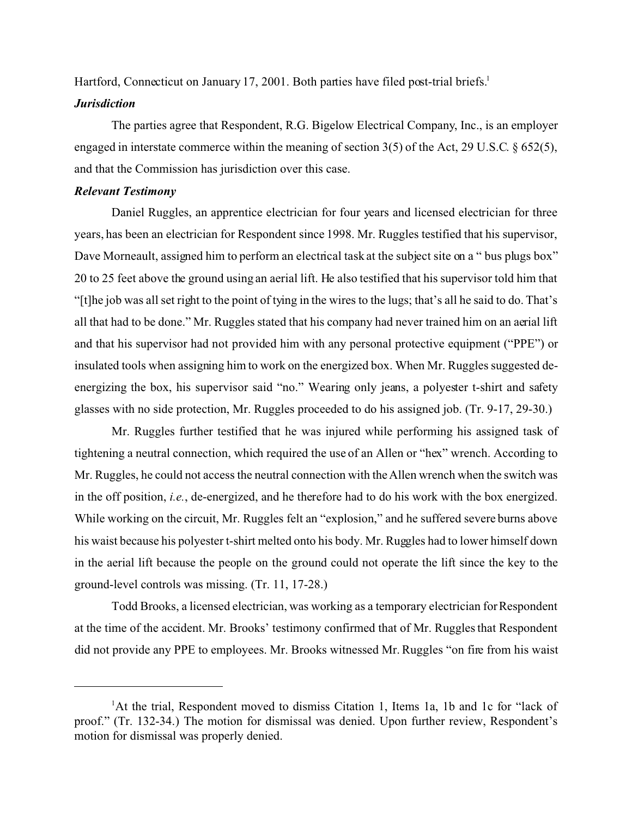Hartford, Connecticut on January 17, 2001. Both parties have filed post-trial briefs.<sup>1</sup>

#### *Jurisdiction*

The parties agree that Respondent, R.G. Bigelow Electrical Company, Inc., is an employer engaged in interstate commerce within the meaning of section 3(5) of the Act, 29 U.S.C. § 652(5), and that the Commission has jurisdiction over this case.

## *Relevant Testimony*

Daniel Ruggles, an apprentice electrician for four years and licensed electrician for three years, has been an electrician for Respondent since 1998. Mr. Ruggles testified that his supervisor, Dave Morneault, assigned him to perform an electrical task at the subject site on a " bus plugs box" 20 to 25 feet above the ground using an aerial lift. He also testified that his supervisor told him that "[t]he job was all set right to the point of tying in the wires to the lugs; that's all he said to do. That's all that had to be done." Mr. Ruggles stated that his company had never trained him on an aerial lift and that his supervisor had not provided him with any personal protective equipment ("PPE") or insulated tools when assigning him to work on the energized box. When Mr. Ruggles suggested deenergizing the box, his supervisor said "no." Wearing only jeans, a polyester t-shirt and safety glasses with no side protection, Mr. Ruggles proceeded to do his assigned job. (Tr. 9-17, 29-30.)

Mr. Ruggles further testified that he was injured while performing his assigned task of tightening a neutral connection, which required the use of an Allen or "hex" wrench. According to Mr. Ruggles, he could not access the neutral connection with the Allen wrench when the switch was in the off position, *i.e.*, de-energized, and he therefore had to do his work with the box energized. While working on the circuit, Mr. Ruggles felt an "explosion," and he suffered severe burns above his waist because his polyester t-shirt melted onto his body. Mr. Ruggles had to lower himself down in the aerial lift because the people on the ground could not operate the lift since the key to the ground-level controls was missing. (Tr. 11, 17-28.)

Todd Brooks, a licensed electrician, was working as a temporary electrician for Respondent at the time of the accident. Mr. Brooks' testimony confirmed that of Mr. Ruggles that Respondent did not provide any PPE to employees. Mr. Brooks witnessed Mr. Ruggles "on fire from his waist

<sup>&</sup>lt;sup>1</sup>At the trial, Respondent moved to dismiss Citation 1, Items 1a, 1b and 1c for "lack of proof." (Tr. 132-34.) The motion for dismissal was denied. Upon further review, Respondent's motion for dismissal was properly denied.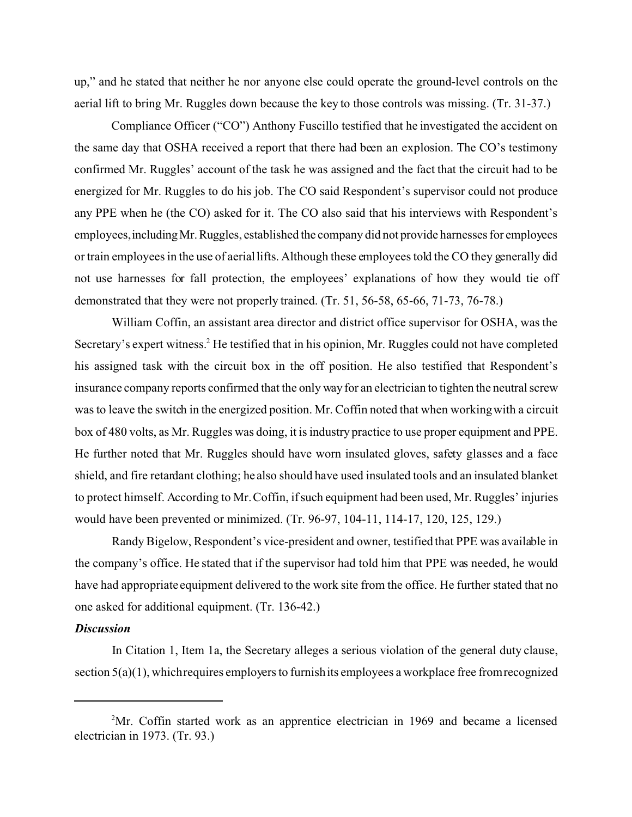up," and he stated that neither he nor anyone else could operate the ground-level controls on the aerial lift to bring Mr. Ruggles down because the key to those controls was missing. (Tr. 31-37.)

Compliance Officer ("CO") Anthony Fuscillo testified that he investigated the accident on the same day that OSHA received a report that there had been an explosion. The CO's testimony confirmed Mr. Ruggles' account of the task he was assigned and the fact that the circuit had to be energized for Mr. Ruggles to do his job. The CO said Respondent's supervisor could not produce any PPE when he (the CO) asked for it. The CO also said that his interviews with Respondent's employees,includingMr.Ruggles, established the company did not provide harnesses for employees or train employees in the use of aerial lifts. Although these employees told the CO they generally did not use harnesses for fall protection, the employees' explanations of how they would tie off demonstrated that they were not properly trained. (Tr. 51, 56-58, 65-66, 71-73, 76-78.)

William Coffin, an assistant area director and district office supervisor for OSHA, was the Secretary's expert witness.<sup>2</sup> He testified that in his opinion, Mr. Ruggles could not have completed his assigned task with the circuit box in the off position. He also testified that Respondent's insurance company reports confirmed that the only way for an electrician to tighten the neutral screw was to leave the switch in the energized position. Mr. Coffin noted that when working with a circuit box of 480 volts, as Mr. Ruggles was doing, it is industry practice to use proper equipment and PPE. He further noted that Mr. Ruggles should have worn insulated gloves, safety glasses and a face shield, and fire retardant clothing; he also should have used insulated tools and an insulated blanket to protect himself. According to Mr. Coffin, if such equipment had been used, Mr. Ruggles' injuries would have been prevented or minimized. (Tr. 96-97, 104-11, 114-17, 120, 125, 129.)

Randy Bigelow, Respondent's vice-president and owner, testified that PPE was available in the company's office. He stated that if the supervisor had told him that PPE was needed, he would have had appropriate equipment delivered to the work site from the office. He further stated that no one asked for additional equipment. (Tr. 136-42.)

### *Discussion*

In Citation 1, Item 1a, the Secretary alleges a serious violation of the general duty clause, section 5(a)(1), whichrequires employers to furnish its employees a workplace free from recognized

<sup>2</sup> Mr. Coffin started work as an apprentice electrician in 1969 and became a licensed electrician in 1973. (Tr. 93.)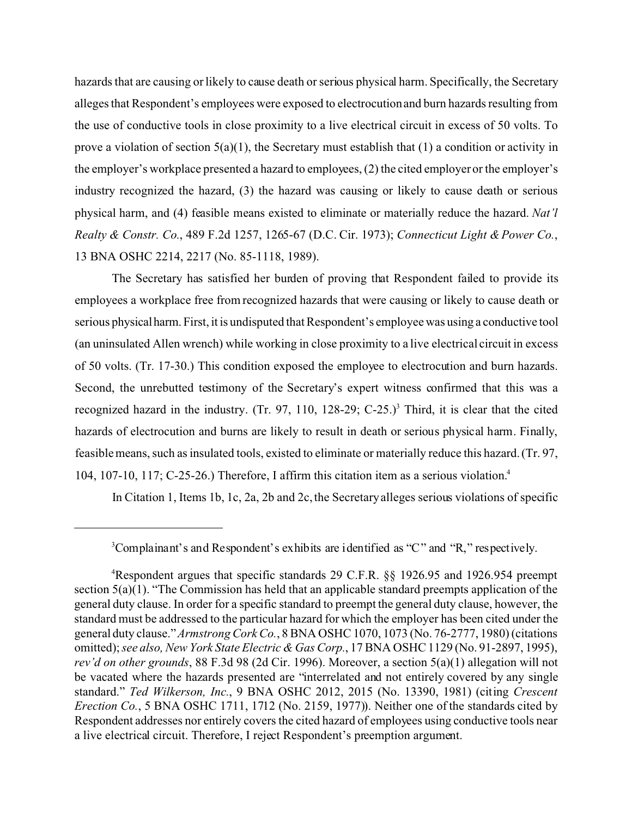hazards that are causing or likely to cause death or serious physical harm. Specifically, the Secretary alleges that Respondent's employees were exposed to electrocution and burn hazards resulting from the use of conductive tools in close proximity to a live electrical circuit in excess of 50 volts. To prove a violation of section  $5(a)(1)$ , the Secretary must establish that  $(1)$  a condition or activity in the employer's workplace presented a hazard to employees, (2) the cited employer or the employer's industry recognized the hazard, (3) the hazard was causing or likely to cause death or serious physical harm, and (4) feasible means existed to eliminate or materially reduce the hazard. *Nat'l Realty & Constr. Co.*, 489 F.2d 1257, 1265-67 (D.C. Cir. 1973); *Connecticut Light & Power Co.*, 13 BNA OSHC 2214, 2217 (No. 85-1118, 1989).

The Secretary has satisfied her burden of proving that Respondent failed to provide its employees a workplace free from recognized hazards that were causing or likely to cause death or serious physicalharm. First, it is undisputed that Respondent's employee was using a conductive tool (an uninsulated Allen wrench) while working in close proximity to a live electrical circuit in excess of 50 volts. (Tr. 17-30.) This condition exposed the employee to electrocution and burn hazards. Second, the unrebutted testimony of the Secretary's expert witness confirmed that this was a recognized hazard in the industry. (Tr. 97, 110, 128-29; C-25.)<sup>3</sup> Third, it is clear that the cited hazards of electrocution and burns are likely to result in death or serious physical harm. Finally, feasible means, such as insulated tools, existed to eliminate or materially reduce this hazard. (Tr. 97, 104, 107-10, 117; C-25-26.) Therefore, I affirm this citation item as a serious violation.<sup>4</sup>

In Citation 1, Items 1b, 1c, 2a, 2b and 2c, the Secretary alleges serious violations of specific

<sup>&</sup>lt;sup>3</sup>Complainant's and Respondent's exhibits are identified as "C" and "R," respectively.

<sup>4</sup> Respondent argues that specific standards 29 C.F.R. §§ 1926.95 and 1926.954 preempt section 5(a)(1). "The Commission has held that an applicable standard preempts application of the general duty clause. In order for a specific standard to preempt the general duty clause, however, the standard must be addressed to the particular hazard for which the employer has been cited under the general duty clause." *Armstrong Cork Co.*, 8 BNA OSHC 1070, 1073 (No. 76-2777, 1980) (citations omitted); *see also, New York State Electric & Gas Corp.*, 17 BNA OSHC 1129 (No. 91-2897, 1995), *rev'd on other grounds*, 88 F.3d 98 (2d Cir. 1996). Moreover, a section 5(a)(1) allegation will not be vacated where the hazards presented are "interrelated and not entirely covered by any single standard." *Ted Wilkerson, Inc.*, 9 BNA OSHC 2012, 2015 (No. 13390, 1981) (citing *Crescent Erection Co.*, 5 BNA OSHC 1711, 1712 (No. 2159, 1977)). Neither one of the standards cited by Respondent addresses nor entirely covers the cited hazard of employees using conductive tools near a live electrical circuit. Therefore, I reject Respondent's preemption argument.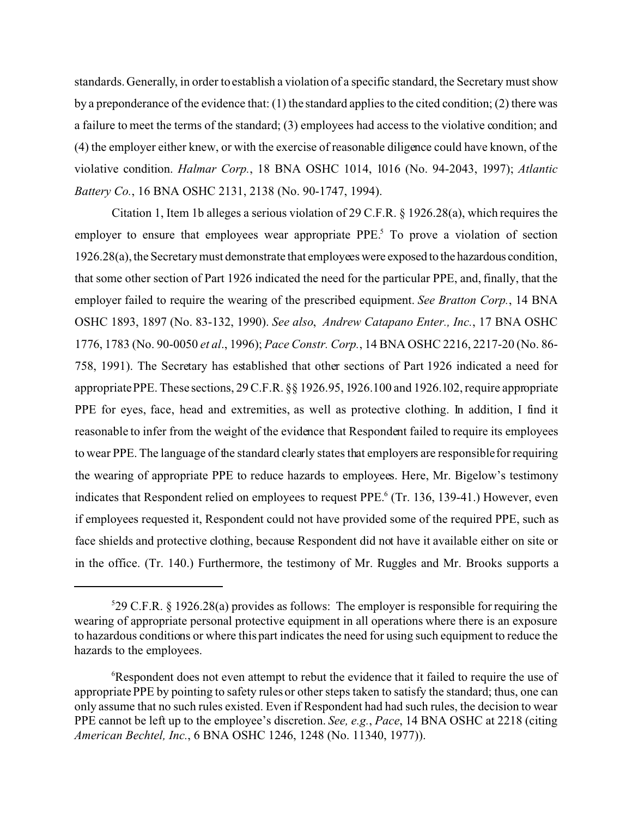standards. Generally, in order to establish a violation of a specific standard, the Secretary must show by a preponderance of the evidence that: (1) the standard applies to the cited condition; (2) there was a failure to meet the terms of the standard; (3) employees had access to the violative condition; and (4) the employer either knew, or with the exercise of reasonable diligence could have known, of the violative condition. *Halmar Corp.*, 18 BNA OSHC 1014, 1016 (No. 94-2043, 1997); *Atlantic Battery Co.*, 16 BNA OSHC 2131, 2138 (No. 90-1747, 1994).

Citation 1, Item 1b alleges a serious violation of 29 C.F.R. § 1926.28(a), which requires the employer to ensure that employees wear appropriate  $PPE<sup>5</sup>$ . To prove a violation of section 1926.28(a), the Secretary must demonstrate that employees were exposed to the hazardous condition, that some other section of Part 1926 indicated the need for the particular PPE, and, finally, that the employer failed to require the wearing of the prescribed equipment. *See Bratton Corp.*, 14 BNA OSHC 1893, 1897 (No. 83-132, 1990). *See also*, *Andrew Catapano Enter., Inc.*, 17 BNA OSHC 1776, 1783 (No. 90-0050 *et al*., 1996); *Pace Constr. Corp.*, 14 BNA OSHC 2216, 2217-20 (No. 86- 758, 1991). The Secretary has established that other sections of Part 1926 indicated a need for appropriate PPE. These sections, 29 C.F.R. §§ 1926.95, 1926.100 and 1926.102, require appropriate PPE for eyes, face, head and extremities, as well as protective clothing. In addition, I find it reasonable to infer from the weight of the evidence that Respondent failed to require its employees to wear PPE. The language of the standard clearly states that employers are responsiblefor requiring the wearing of appropriate PPE to reduce hazards to employees. Here, Mr. Bigelow's testimony indicates that Respondent relied on employees to request PPE.<sup>6</sup> (Tr. 136, 139-41.) However, even if employees requested it, Respondent could not have provided some of the required PPE, such as face shields and protective clothing, because Respondent did not have it available either on site or in the office. (Tr. 140.) Furthermore, the testimony of Mr. Ruggles and Mr. Brooks supports a

 $529$  C.F.R. § 1926.28(a) provides as follows: The employer is responsible for requiring the wearing of appropriate personal protective equipment in all operations where there is an exposure to hazardous conditions or where this part indicates the need for using such equipment to reduce the hazards to the employees.

<sup>&</sup>lt;sup>6</sup>Respondent does not even attempt to rebut the evidence that it failed to require the use of appropriate PPE by pointing to safety rules or other steps taken to satisfy the standard; thus, one can only assume that no such rules existed. Even if Respondent had had such rules, the decision to wear PPE cannot be left up to the employee's discretion. *See, e.g.*, *Pace*, 14 BNA OSHC at 2218 (citing *American Bechtel, Inc.*, 6 BNA OSHC 1246, 1248 (No. 11340, 1977)).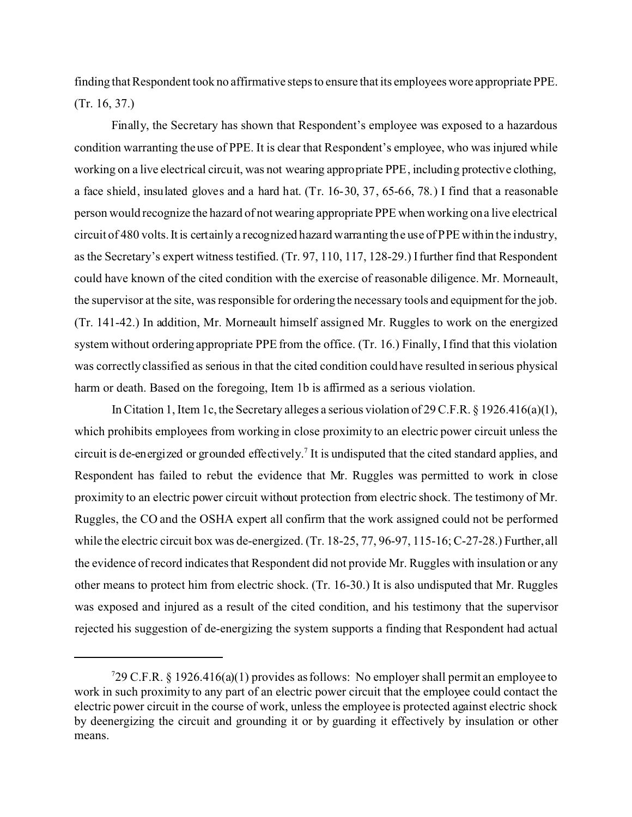finding that Respondent took no affirmative steps to ensure that its employees wore appropriate PPE. (Tr. 16, 37.)

Finally, the Secretary has shown that Respondent's employee was exposed to a hazardous condition warranting the use of PPE. It is clear that Respondent's employee, who was injured while working on a live electrical circuit, was not wearing appropriate PPE, including protective clothing, a face shield, insulated gloves and a hard hat. (Tr. 16-30, 37, 65-66, 78.) I find that a reasonable person would recognize the hazard of not wearing appropriate PPE when working on a live electrical circuit of 480 volts. It is certainly a recognized hazard warranting the use of PPE within the industry, as the Secretary's expert witness testified. (Tr. 97, 110, 117, 128-29.) I further find that Respondent could have known of the cited condition with the exercise of reasonable diligence. Mr. Morneault, the supervisor at the site, was responsible for ordering the necessary tools and equipment for the job. (Tr. 141-42.) In addition, Mr. Morneault himself assigned Mr. Ruggles to work on the energized system without ordering appropriate PPE from the office. (Tr. 16.) Finally, I find that this violation was correctly classified as serious in that the cited condition could have resulted in serious physical harm or death. Based on the foregoing, Item 1b is affirmed as a serious violation.

In Citation 1, Item 1c, the Secretary alleges a serious violation of 29 C.F.R.  $\S$  1926.416(a)(1), which prohibits employees from working in close proximity to an electric power circuit unless the circuit is de-energized or grounded effectively.<sup>7</sup> It is undisputed that the cited standard applies, and Respondent has failed to rebut the evidence that Mr. Ruggles was permitted to work in close proximity to an electric power circuit without protection from electric shock. The testimony of Mr. Ruggles, the CO and the OSHA expert all confirm that the work assigned could not be performed while the electric circuit box was de-energized. (Tr. 18-25, 77, 96-97, 115-16; C-27-28.) Further, all the evidence of record indicates that Respondent did not provide Mr. Ruggles with insulation or any other means to protect him from electric shock. (Tr. 16-30.) It is also undisputed that Mr. Ruggles was exposed and injured as a result of the cited condition, and his testimony that the supervisor rejected his suggestion of de-energizing the system supports a finding that Respondent had actual

 $729$  C.F.R. § 1926.416(a)(1) provides as follows: No employer shall permit an employee to work in such proximity to any part of an electric power circuit that the employee could contact the electric power circuit in the course of work, unless the employee is protected against electric shock by deenergizing the circuit and grounding it or by guarding it effectively by insulation or other means.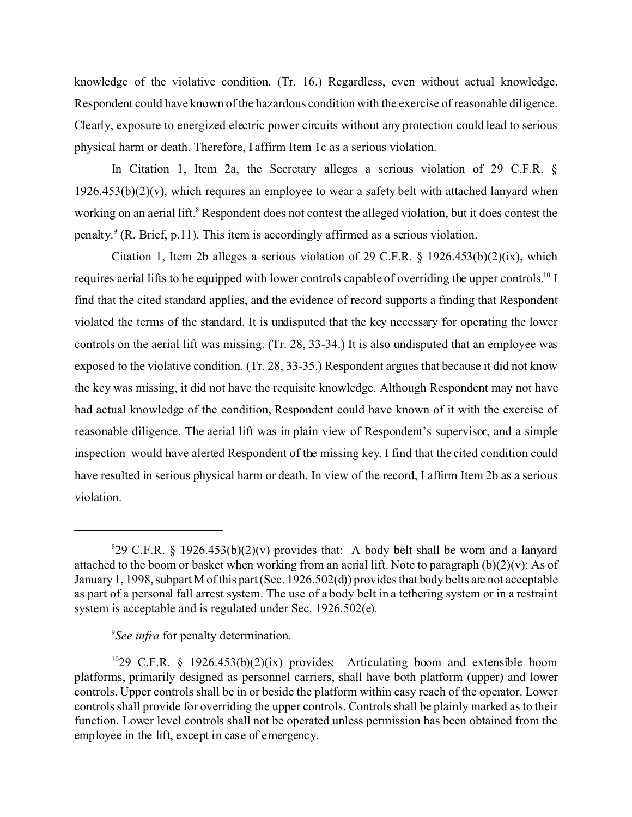knowledge of the violative condition. (Tr. 16.) Regardless, even without actual knowledge, Respondent could have known of the hazardous condition with the exercise of reasonable diligence. Clearly, exposure to energized electric power circuits without any protection could lead to serious physical harm or death. Therefore, I affirm Item 1c as a serious violation.

In Citation 1, Item 2a, the Secretary alleges a serious violation of 29 C.F.R. §  $1926.453(b)(2)(v)$ , which requires an employee to wear a safety belt with attached lanyard when working on an aerial lift.<sup>8</sup> Respondent does not contest the alleged violation, but it does contest the penalty.  $(R. Brief, p.11)$ . This item is accordingly affirmed as a serious violation.

Citation 1, Item 2b alleges a serious violation of 29 C.F.R.  $\S$  1926.453(b)(2)(ix), which requires aerial lifts to be equipped with lower controls capable of overriding the upper controls.<sup>10</sup> I find that the cited standard applies, and the evidence of record supports a finding that Respondent violated the terms of the standard. It is undisputed that the key necessary for operating the lower controls on the aerial lift was missing. (Tr. 28, 33-34.) It is also undisputed that an employee was exposed to the violative condition. (Tr. 28, 33-35.) Respondent argues that because it did not know the key was missing, it did not have the requisite knowledge. Although Respondent may not have had actual knowledge of the condition, Respondent could have known of it with the exercise of reasonable diligence. The aerial lift was in plain view of Respondent's supervisor, and a simple inspection would have alerted Respondent of the missing key. I find that the cited condition could have resulted in serious physical harm or death. In view of the record, I affirm Item 2b as a serious violation.

# 9 *See infra* for penalty determination.

 $829$  C.F.R. § 1926.453(b)(2)(v) provides that: A body belt shall be worn and a lanyard attached to the boom or basket when working from an aerial lift. Note to paragraph  $(b)(2)(v)$ : As of January 1, 1998, subpart M of this part (Sec. 1926.502(d)) provides that body belts are not acceptable as part of a personal fall arrest system. The use of a body belt in a tethering system or in a restraint system is acceptable and is regulated under Sec. 1926.502(e).

<sup>&</sup>lt;sup>10</sup>29 C.F.R. § 1926.453(b)(2)(ix) provides: Articulating boom and extensible boom platforms, primarily designed as personnel carriers, shall have both platform (upper) and lower controls. Upper controls shall be in or beside the platform within easy reach of the operator. Lower controls shall provide for overriding the upper controls. Controls shall be plainly marked as to their function. Lower level controls shall not be operated unless permission has been obtained from the employee in the lift, except in case of emergency.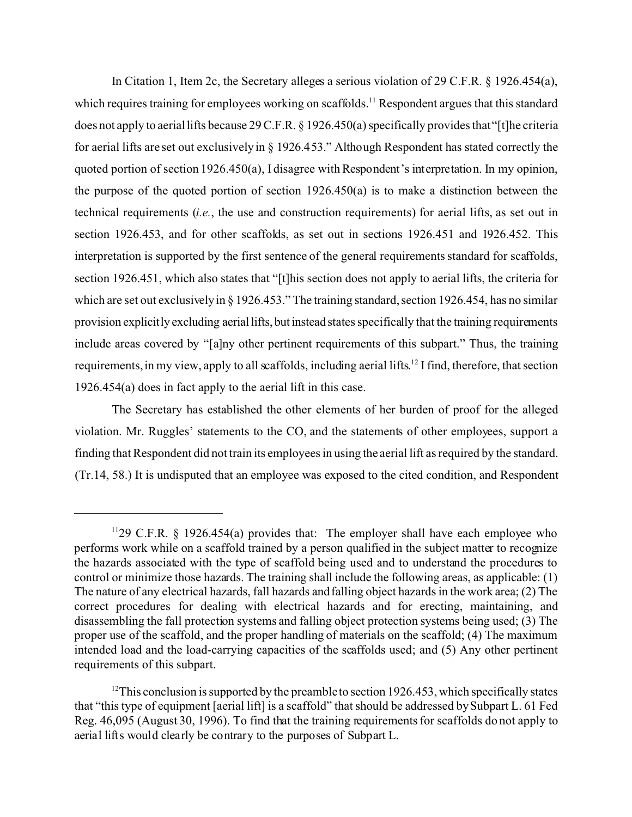In Citation 1, Item 2c, the Secretary alleges a serious violation of 29 C.F.R. § 1926.454(a), which requires training for employees working on scaffolds.<sup>11</sup> Respondent argues that this standard does not apply to aerial lifts because 29 C.F.R. § 1926.450(a) specifically provides that"[t]he criteria for aerial lifts are set out exclusively in § 1926.453." Although Respondent has stated correctly the quoted portion of section 1926.450(a), I disagree with Respondent's interpretation. In my opinion, the purpose of the quoted portion of section 1926.450(a) is to make a distinction between the technical requirements (*i.e.*, the use and construction requirements) for aerial lifts, as set out in section 1926.453, and for other scaffolds, as set out in sections 1926.451 and 1926.452. This interpretation is supported by the first sentence of the general requirements standard for scaffolds, section 1926.451, which also states that "[t]his section does not apply to aerial lifts, the criteria for which are set out exclusively in § 1926.453." The training standard, section 1926.454, has no similar provision explicitly excluding aeriallifts,but instead states specifically that the training requirements include areas covered by "[a]ny other pertinent requirements of this subpart." Thus, the training requirements, in my view, apply to all scaffolds, including aerial lifts.<sup>12</sup> I find, therefore, that section 1926.454(a) does in fact apply to the aerial lift in this case.

The Secretary has established the other elements of her burden of proof for the alleged violation. Mr. Ruggles' statements to the CO, and the statements of other employees, support a finding that Respondent did not train its employees in using the aerial lift as required by the standard. (Tr.14, 58.) It is undisputed that an employee was exposed to the cited condition, and Respondent

<sup>&</sup>lt;sup>11</sup>29 C.F.R. § 1926.454(a) provides that: The employer shall have each employee who performs work while on a scaffold trained by a person qualified in the subject matter to recognize the hazards associated with the type of scaffold being used and to understand the procedures to control or minimize those hazards. The training shall include the following areas, as applicable: (1) The nature of any electrical hazards, fall hazards and falling object hazards in the work area; (2) The correct procedures for dealing with electrical hazards and for erecting, maintaining, and disassembling the fall protection systems and falling object protection systems being used; (3) The proper use of the scaffold, and the proper handling of materials on the scaffold; (4) The maximum intended load and the load-carrying capacities of the scaffolds used; and (5) Any other pertinent requirements of this subpart.

 $12$ This conclusion is supported by the preamble to section 1926.453, which specifically states that "this type of equipment [aerial lift] is a scaffold" that should be addressed by Subpart L. 61 Fed Reg. 46,095 (August 30, 1996). To find that the training requirements for scaffolds do not apply to aerial lifts would clearly be contrary to the purposes of Subpart L.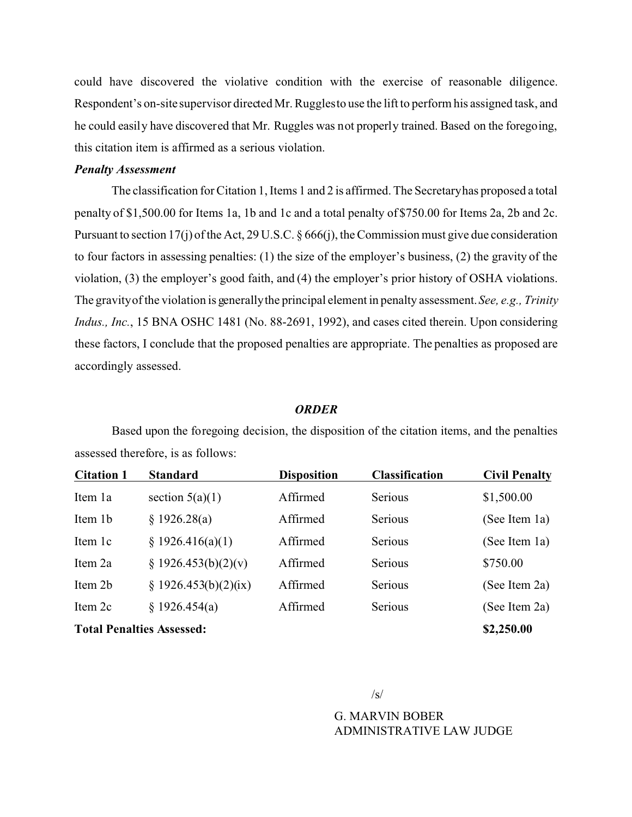could have discovered the violative condition with the exercise of reasonable diligence. Respondent's on-site supervisor directed Mr. Rugglesto use the lift to perform his assigned task, and he could easily have discovered that Mr. Ruggles was not properly trained. Based on the foregoing, this citation item is affirmed as a serious violation.

## *Penalty Assessment*

The classification for Citation 1, Items 1 and 2 is affirmed. The Secretaryhas proposed a total penalty of \$1,500.00 for Items 1a, 1b and 1c and a total penalty of \$750.00 for Items 2a, 2b and 2c. Pursuant to section 17(j) of the Act, 29 U.S.C. § 666(j), the Commission must give due consideration to four factors in assessing penalties: (1) the size of the employer's business, (2) the gravity of the violation, (3) the employer's good faith, and (4) the employer's prior history of OSHA violations. The gravityof the violation is generallythe principal element in penalty assessment. *See, e.g., Trinity Indus., Inc.*, 15 BNA OSHC 1481 (No. 88-2691, 1992), and cases cited therein. Upon considering these factors, I conclude that the proposed penalties are appropriate. The penalties as proposed are accordingly assessed.

## *ORDER*

Based upon the foregoing decision, the disposition of the citation items, and the penalties assessed therefore, is as follows:

| <b>Citation 1</b>                | <b>Standard</b>        | <b>Disposition</b> | <b>Classification</b> | <b>Civil Penalty</b> |
|----------------------------------|------------------------|--------------------|-----------------------|----------------------|
| Item 1a                          | section $5(a)(1)$      | Affirmed           | Serious               | \$1,500.00           |
| Item 1b                          | § 1926.28(a)           | Affirmed           | Serious               | (See Item 1a)        |
| Item 1c                          | § 1926.416(a)(1)       | Affirmed           | Serious               | (See Item 1a)        |
| Item 2a                          | $\S 1926.453(b)(2)(v)$ | Affirmed           | Serious               | \$750.00             |
| Item 2b                          | § 1926.453(b)(2)(ix)   | Affirmed           | Serious               | (See Item 2a)        |
| Item 2c                          | \$1926.454(a)          | Affirmed           | Serious               | (See Item 2a)        |
| <b>Total Penalties Assessed:</b> | \$2,250.00             |                    |                       |                      |

 $\sqrt{s}$ 

G. MARVIN BOBER ADMINISTRATIVE LAW JUDGE